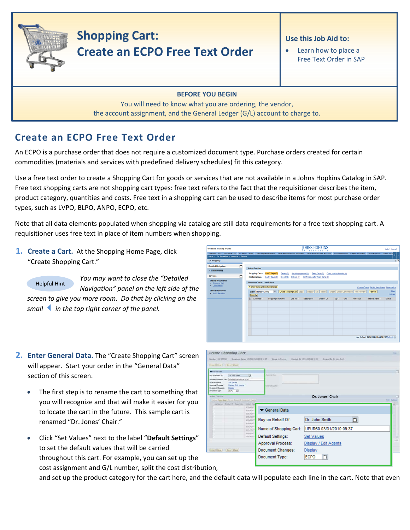

# **Shopping Cart: Create an ECPO Free Text Order**

### **Use this Job Aid to:**

• Learn how to place a Free Text Order in SAP

#### **BEFORE YOU BEGIN**

You will need to know what you are ordering, the vendor, the account assignment, and the General Ledger (G/L) account to charge to.

## **Create an ECPO Free Text Order**

An ECPO is a purchase order that does not require a customized document type. Purchase orders created for certain commodities (materials and services with predefined delivery schedules) fit this category.

Use a free text order to create a Shopping Cart for goods or services that are not available in a Johns Hopkins Catalog in SAP. Free text shopping carts are not shopping cart types: free text refers to the fact that the requisitioner describes the item, product category, quantities and costs. Free text in a shopping cart can be used to describe items for most purchase order types, such as LVPO, BLPO, ANPO, ECPO, etc.

Note that all data elements populated when shopping via catalog are still data requirements for a free text shopping cart. A requisitioner uses free text in place of item numbers when shopping.

**1. Create a Cart.** At the Shopping Home Page, click "Create Shopping Cart."

*You may want to close the "Detailed Navigation" panel on the left side of the screen to give you more room. Do that by clicking on the smallin the top right corner of the panel.* Helpful Hint

- **2. Enter General Data.** The "Create Shopping Cart" screen will appear. Start your order in the "General Data" section of this screen.
	- The first step is to rename the cart to something that you will recognize and that will make it easier for you to locate the cart in the future. This sample cart is renamed "Dr. Jones' Chair."
	- Click "Set Values" next to the label "**Default Settings**" to set the default values that will be carried throughout this cart. For example, you can set up the cost assignment and G/L number, split the cost distribution,

Shopping Carts **Lant 7 Days (0)** Saved (0) Awaling Approval (0) Team Carts (0) Open for Confirmation (0)<br>Confirmations Last 7 Days (0) Saved (0) Deteted (0) Confirmations for Team Carts (0) Shopping Carts - Last 7 Days > Show Quick Criteria Maintenance MS Vew] F Create Shopping Cart | Copy | | Display | Edit | Delete | | Create | Create W Refresh Create Shopping Cart Didar Close | Dave | Check Caneral Date y en Behalf Of Dr. John Smith LIPURED ESCILIDENS ON 3 Set Values<br>Ongan ( Egt e  $\frac{\text{Dmin}}{\text{fcore}}$ **Dr. Jones' Chair** General Data **D** Buy on Behalf Of: Dr. John Smith Name of Shopping Cart: UPUR60 03/31/2010 09:37 Default Settings: **Set Values** Approval Process: Display / Edit Agents Document Changes: Display Document Type:  $E$ CPO  $\Box$ 

**IOHNS HOPKINS** 

**Help | Logioff** 

and set up the product category for the cart here, and the default data will populate each line in the cart. Note that even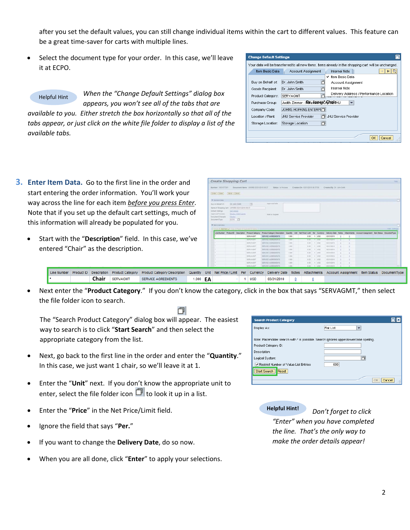after you set the default values, you can still change individual items within the cart to different values. This feature can be a great time‐saver for carts with multiple lines.

Select the document type for your order. In this case, we'll leave it at ECPO.

*When the "Change Default Settings" dialog box appears, you won't see all of the tabs that are available to you. Either stretch the box horizontally so that all of the tabs appear, or just click on the white file folder to display a list of the available tabs.* Helpful Hint

- **3. Enter Item Data.** Go to the first line in the order and start entering the order information. You'll work your way across the line for each item *before you press Enter*. Note that if you set up the default cart settings, much of this information will already be populated for you.
	- Start with the "**Description**" field. In this case, we've entered "Chair" as the description.

| <b>Change Default Settings</b> |                                      |                                                                                                       |
|--------------------------------|--------------------------------------|-------------------------------------------------------------------------------------------------------|
|                                |                                      | Your data will be transferred to all new items, items already in the shopping cart will be unchanged. |
| Item Basic Data                | Account Assignment                   | <b>Internal Note</b>                                                                                  |
|                                |                                      | Item Basic Data<br>ັ                                                                                  |
| Buy on Behalf of:              | Dr. John Smith                       | Account Assignment                                                                                    |
| Goods Recipient:               | Dr. John Smith                       | Internal Note                                                                                         |
| Product Category:              | <b>SERVAGMT</b>                      | Delivery Address / Performance Location                                                               |
| Purchase Group:                | Judith Zimmer - FunctionneschChainHU |                                                                                                       |
| Company Code:                  | JOHNS HOPKINS ENTERPHT               |                                                                                                       |
| Location / Plant:              | JHU Service Provider                 | JHU Service Provider                                                                                  |
| Storage Location:              | 门<br>Storage Location                |                                                                                                       |
|                                |                                      |                                                                                                       |
|                                |                                      | Cancel<br>ОК                                                                                          |
|                                |                                      |                                                                                                       |

|                                      |                   | <b>Create Shopping Cart</b>                    |                                                    |                                   |       |                                |             |                           |  |                                                                                                                         | first.      |
|--------------------------------------|-------------------|------------------------------------------------|----------------------------------------------------|-----------------------------------|-------|--------------------------------|-------------|---------------------------|--|-------------------------------------------------------------------------------------------------------------------------|-------------|
| Marmiller 3003077201                 |                   |                                                | Document Barne UPLIKEE EV21/2E10 28 3T             | <b>Hafan</b> is Privilena.        |       | Created On 03/31/2019 24:37:58 |             | Created By Dr. John Smith |  |                                                                                                                         |             |
| Criter   Close   Clave   Chara       |                   |                                                |                                                    |                                   |       |                                |             |                           |  |                                                                                                                         |             |
|                                      |                   |                                                |                                                    |                                   |       |                                |             |                           |  |                                                                                                                         |             |
| <b>W</b> General Data                |                   |                                                |                                                    |                                   |       |                                |             |                           |  |                                                                                                                         | e           |
| Buy an Bishart Of                    |                   | Dr. John Smith                                 | ы                                                  | Appreviat Note                    |       |                                |             |                           |  |                                                                                                                         |             |
|                                      |                   | Name of Shopping Cart: UPURED 23/31/2010 09:37 |                                                    |                                   |       |                                |             |                           |  |                                                                                                                         |             |
| Default Sattings                     | <b>Det Values</b> |                                                |                                                    |                                   |       |                                |             |                           |  |                                                                                                                         |             |
| Accreval Process                     |                   | Dazes / S.M.Agenta                             |                                                    | Saile In Sugaler                  |       |                                |             |                           |  |                                                                                                                         |             |
| Document Changes:                    | <b>TOLET</b>      |                                                |                                                    |                                   |       |                                |             |                           |  |                                                                                                                         |             |
|                                      |                   |                                                |                                                    |                                   |       |                                |             |                           |  |                                                                                                                         |             |
|                                      | 100 15            |                                                |                                                    |                                   |       |                                |             |                           |  |                                                                                                                         |             |
|                                      |                   |                                                |                                                    |                                   |       |                                |             |                           |  |                                                                                                                         |             |
|                                      |                   |                                                |                                                    |                                   |       |                                |             |                           |  |                                                                                                                         |             |
|                                      |                   |                                                | Since I Add box 4 Lives 3 Form   Sustain   Senior  |                                   |       |                                |             |                           |  |                                                                                                                         | Time Select |
|                                      |                   |                                                | Line Number Product D Description Product Category | Product Category Description      |       |                                |             |                           |  | Quarity Unit Het Price / Link Per Currency Delivery Date Nation Attachments Account Assignment Bars Status DocumentType |             |
|                                      |                   |                                                | SERVAGNT                                           | SERVICE AGREEMENTS                | 1.000 | 0.00                           | $t$ and     | 03/31/2010                |  |                                                                                                                         |             |
|                                      |                   |                                                | SERVICES                                           | <b><i>SERVICE ANNEHALISTS</i></b> | 1,000 | $\blacksquare$                 | <b>TANK</b> | <b>ENDITORY</b>           |  |                                                                                                                         |             |
|                                      |                   |                                                | SERVAGNT                                           | SERVICE AGREEMENTS                | 5.832 | 2.21                           | 4.7.0925    | 23312810                  |  |                                                                                                                         |             |
|                                      |                   |                                                | <b>SERVADUT</b>                                    | SERVICE ASSEEMENTS                | 1.500 | 8.00                           | $1 - 150$   | 03/21/2010                |  |                                                                                                                         |             |
|                                      |                   |                                                | <b>SERVAGN!</b>                                    | <b>SERVICE AGREEMENTS</b>         | 1.005 | $-0.00$                        | 1.1100      | 55/31/2510                |  |                                                                                                                         |             |
|                                      |                   |                                                | <b>SERVADIT</b>                                    | <b>SERVICE ASSETSENTS</b>         | 3,000 | 0.00                           | 3.1 USD     | 83/31/2010                |  |                                                                                                                         |             |
|                                      |                   |                                                | <b>SERVAGNT</b>                                    | GERVICE ADREEMENTS.               | 1,000 | 0.001                          | 9.1150      | 03/21/2010                |  |                                                                                                                         |             |
| Document Type:<br>W first Distribute |                   |                                                | SERVADAT                                           | <b>BERVICE ASPEEMENTS</b>         | 1,300 | 100                            | 11000       | <b>ES310S10</b>           |  |                                                                                                                         |             |
|                                      |                   |                                                | SERVADUT                                           | SERVICE ADRESIENTS                | 1,000 | 0.00                           | $1 - 1000$  | 03/31/2010                |  |                                                                                                                         |             |

Line Number Product ID Description Product Category Product Category Description Quantity U **Chair EA EA EA EA EA EA EA**  $1$  USD 03/31/2010

• Next enter the "**Product Category**." If you don't know the category, click in the box that says "SERVAGMT," then select the file folder icon to search.

巾

The "Search Product Category" dialog box will appear. The easiest way to search is to click "**Start Search**" and then select the appropriate category from the list.

- Next, go back to the first line in the order and enter the "**Quantity**." In this case, we just want 1 chair, so we'll leave it at 1.
- Enter the "**Unit**" next. If you don't know the appropriate unit to enter, select the file folder icon  $\Box$  to look it up in a list.
- Enter the "**Price**" in the Net Price/Limit field.
- Ignore the field that says "**Per.**"
- If you want to change the **Delivery Date**, do so now.
- When you are all done, click "**Enter**" to apply your selections.

| <b>Search Product Category</b>                                                        |                       |
|---------------------------------------------------------------------------------------|-----------------------|
| Display As:                                                                           | <b>Flat List</b><br>▼ |
| Note: Placeholder search with * is possible. Search ignores upper/lowercase spelling. |                       |
| Product Category ID:                                                                  |                       |
| Description:                                                                          |                       |
| Logical System:                                                                       | 门                     |
| Restrict Number of Value List Entries                                                 | 500                   |
| Start Search<br>Reset                                                                 |                       |
|                                                                                       | OK<br>Cancel          |
|                                                                                       | اللبي                 |

**Helpful Hint!** *Don't forget to click "Enter" when you have completed the line. That's the only way to make the order details appear!*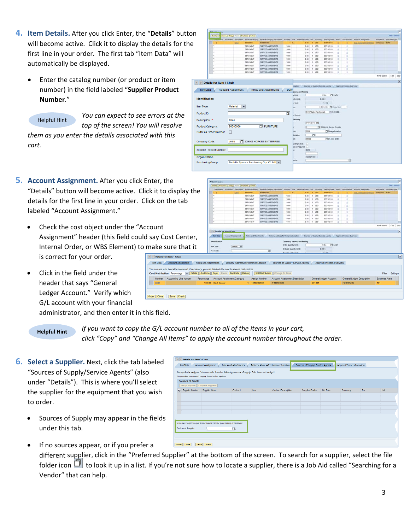- **4. Item Details.** After you click Enter, the "**Details**" button will become active. Click it to display the details for the first line in your order. The first tab "Item Data" will automatically be displayed.
	- Enter the catalog number (or product or item number) in the field labeled "**Supplier Product Number**."



*You can expect to see errors at the top of the screen! You will resolve*

*them as you enter the details associated with this cart.*

- **5. Account Assignment.** After you click Enter, the "Details" button will become active. Click it to display the details for the first line in your order. Click on labeled "Account Assignment."
	- Check the cost object under the "Account Assignment" header (this field could say Co Internal Order, or WBS Element) to make s is correct for your order. **ED** Details for tem Data

You can see wh **Cost Distrib** Number  $0001$ 

Click in the field under the header that says "General Ledger Account." Verify which G/L account with your financial

|                                                                                                           | 100.00 Cost Center                           |                                       | $-1010289732$                |                                          | <b>IT TRAINING</b>                                                       |              | 631001           |                           | <b>FURNITURE</b>           | 101                  |           |
|-----------------------------------------------------------------------------------------------------------|----------------------------------------------|---------------------------------------|------------------------------|------------------------------------------|--------------------------------------------------------------------------|--------------|------------------|---------------------------|----------------------------|----------------------|-----------|
| Accounting Line Number                                                                                    | Percentage                                   | Account Assignment Category           |                              | Assign Number                            | Account Assignment Description                                           |              |                  | General Ledger Account    | General Ledger Description | <b>Business Area</b> |           |
| o bears the costs and, if necessary, you can distribute the cost to several cost centres<br>on Percentage | Details Add Line Copy Paste Duplicate Detete |                                       |                              | Spit Distribution Change All tems        |                                                                          |              |                  |                           |                            | Fiter                | Settings  |
| <b>Account Assignment</b>                                                                                 | Notes and Attachments                        | Delivery Address/Performance Location |                              |                                          | Sources of Supply / Service Agents                                       |              |                  | Approval Process Overview |                            |                      |           |
| r item 1 Chair                                                                                            |                                              |                                       |                              |                                          |                                                                          |              |                  |                           |                            |                      |           |
| ure that it                                                                                               | Jam Type:<br><b>Product D.</b>               | Material (w)                          |                              | ö.                                       | Ordered Quantity / Unit:<br>Open Quantity / Unit                         |              |                  | 0.000<br>1.7A             |                            |                      |           |
|                                                                                                           | <b>Identification</b>                        |                                       |                              |                                          | Currency, Values, and Pricing<br><b>Order Quantity / Unit</b>            |              |                  | <b>ITE EACH</b><br>$1$ EA |                            |                      |           |
| ost Center,                                                                                               | <b>Bank Data</b>                             | <b>Account Assignment</b>             | <b>Scien and Attachments</b> |                                          | Delivery Address/Ferformance Location Sources of Suzaly / Service Agents |              |                  |                           | Approval Process Overview  |                      |           |
|                                                                                                           |                                              | 4         Details for item 1 Chair    |                              |                                          |                                                                          |              |                  |                           |                            |                      |           |
|                                                                                                           |                                              |                                       |                              |                                          |                                                                          |              |                  |                           |                            | <b>Total Value</b>   | 0.00 1:50 |
|                                                                                                           | ٠                                            |                                       | SERVADNT                     | SERVICE AGREEMENTS                       | 1,000                                                                    | 0.00         | 1.1050           | 03/31/2010                |                            |                      |           |
|                                                                                                           | $\overline{a}$                               |                                       | <b>SERVAGNT</b><br>SERVAGNT  | SERVICE AGREEMENTS<br>SERVICE AGREEMENTS | 1.000<br>1.000                                                           | 0.00<br>0.00 | $+1250$<br>1.150 | 03/31/2010<br>03/31/2010  |                            |                      |           |
|                                                                                                           | $\cdot$                                      |                                       | <b>SERVAGNT</b>              | SERVICE AGREEMENTS                       | 1.000                                                                    | 0.00         | 1.050            | 03/31/2010                |                            |                      |           |
|                                                                                                           |                                              |                                       | SERVAGNY                     | SERVICE AGREEMENTS                       | 1.000                                                                    | 0.00         | $1 - 150$        | 03/31/2010                |                            |                      |           |
| the tab                                                                                                   | ×                                            |                                       | SERVAGNT<br><b>SERVAGNT</b>  | SERVICE AGREEMENTS<br>SERVICE AGREEMENTS | 1,000                                                                    | 0.00.        | 1.150            | 63/31/2010                |                            |                      |           |

0.000 0.000 0.000 0.000 0.000 0.000 0.000 0.000 0.000 0.000 0.000 0.000 0.000 0.000 0.000 0.000 0.000 0.000 0.000 0.000 0.000 0.000 0.000 0.000 0.000 0.000 0.000 0.000 0.000 0.000 0.000 0.000 0.000 0.000 0.000 0.000 0.000 100<br>100<br>100<br>100<br>100

**164 2 EAD** 

100 USO 25 Price Dat |

ö

 $1.54$ 

1.000<br>1.000<br>1.000<br>1.000<br>1.000<br>1.000

Deli

 $\Box$ 

 $\boxed{7}$  FURNITURE

JHEN **T** JOHNS HOPKINS ENTERPRISE

Paulette Spann - Purchasing Grp 42 JHU | w

administrator, and then enter it in this field.

#### **Helpful Hint**

*If you want to copy the G/L account number to all of the items in your cart, click "Copy" and "Change All Items" to apply the account number throughout the order.*

**Them Data** | Account Assignment | Notes and Attach

nim | z<mark>ostemu | Copy |</mark> Form | Duplicate | Celefe |

**Example 18 Marshall Account Assignment** Notes and Attachments

Material  $\vert \mathbf{v} \vert$ 

Cha 56000000

 $\Box$ 

is | Add firm a | Copy | Frank | Deplicate | Delete

Details for item 1 Chair

Identification

ltem Type:

Product ID:

Description: \*

Product Category: Order as Direct Material:

Company Code

Purchasing Group:

Supplier Product Number: Organization

- **6. Select a Supplier.** Next, click the tab labeled "Sources of Supply/Service Agents" (also under "Details"). This is where you'll select the supplier for the equipment that you wish to order.
	- Sources of Supply may appear in the fields under this tab.
- of Vou can order from the follow ssigned. You can order from the fo<br>rees of supply lound in the system<br>. Sources of Supply Assion Supplier Compare Suppliers You may suppose a proforred suppler to the purchasing depe chanal Soudi  $\Box$ Order Close | Save Check

Sauroos of Super Hervine Anoda

If no sources appear, or if you prefer a different supplier, click in the "Preferred Supplier" at the bottom of the screen. To search for a supplier, select the file folder icon  $\Box$  to look it up in a list. If you're not sure how to locate a supplier, there is a Job Aid called "Searching for a Vendor" that can help.